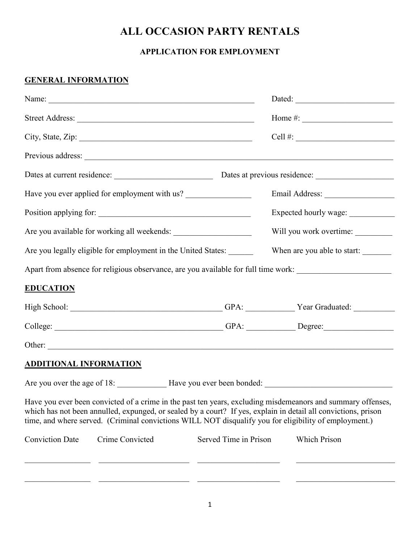## **ALL OCCASION PARTY RENTALS**

## **APPLICATION FOR EMPLOYMENT**

## **GENERAL INFORMATION**

|                                                                                                                                                                                                                                                                                                                                        |                       | Home #: $\frac{1}{2}$ = $\frac{1}{2}$ = $\frac{1}{2}$ = $\frac{1}{2}$ = $\frac{1}{2}$ = $\frac{1}{2}$ = $\frac{1}{2}$ = $\frac{1}{2}$ = $\frac{1}{2}$ = $\frac{1}{2}$ = $\frac{1}{2}$ = $\frac{1}{2}$ = $\frac{1}{2}$ = $\frac{1}{2}$ = $\frac{1}{2}$ = $\frac{1}{2}$ = $\frac{1}{2}$ = $\frac{1}{2}$ |  |                                                                                                                                                                                                                               |  |
|----------------------------------------------------------------------------------------------------------------------------------------------------------------------------------------------------------------------------------------------------------------------------------------------------------------------------------------|-----------------------|-------------------------------------------------------------------------------------------------------------------------------------------------------------------------------------------------------------------------------------------------------------------------------------------------------|--|-------------------------------------------------------------------------------------------------------------------------------------------------------------------------------------------------------------------------------|--|
|                                                                                                                                                                                                                                                                                                                                        |                       |                                                                                                                                                                                                                                                                                                       |  | City, State, Zip: 1988. City, State, Zip: 1988. City, State, Zip: 1988. City, State, Zip: 1988. City, 2008. City, 2008. City, 2008. City, 2008. City, 2008. City, 2008. City, 2008. City, 2008. City, 2008. City, 2008. City, |  |
|                                                                                                                                                                                                                                                                                                                                        |                       |                                                                                                                                                                                                                                                                                                       |  |                                                                                                                                                                                                                               |  |
|                                                                                                                                                                                                                                                                                                                                        |                       |                                                                                                                                                                                                                                                                                                       |  |                                                                                                                                                                                                                               |  |
| Have you ever applied for employment with us?                                                                                                                                                                                                                                                                                          |                       |                                                                                                                                                                                                                                                                                                       |  |                                                                                                                                                                                                                               |  |
|                                                                                                                                                                                                                                                                                                                                        |                       | Expected hourly wage: ____________                                                                                                                                                                                                                                                                    |  |                                                                                                                                                                                                                               |  |
|                                                                                                                                                                                                                                                                                                                                        |                       | Will you work overtime:                                                                                                                                                                                                                                                                               |  |                                                                                                                                                                                                                               |  |
| Are you legally eligible for employment in the United States:                                                                                                                                                                                                                                                                          |                       | When are you able to start:                                                                                                                                                                                                                                                                           |  |                                                                                                                                                                                                                               |  |
| Apart from absence for religious observance, are you available for full time work:                                                                                                                                                                                                                                                     |                       |                                                                                                                                                                                                                                                                                                       |  |                                                                                                                                                                                                                               |  |
| <b>EDUCATION</b>                                                                                                                                                                                                                                                                                                                       |                       |                                                                                                                                                                                                                                                                                                       |  |                                                                                                                                                                                                                               |  |
| High School: __________________________________GPA: _____________Year Graduated: ___________________                                                                                                                                                                                                                                   |                       |                                                                                                                                                                                                                                                                                                       |  |                                                                                                                                                                                                                               |  |
|                                                                                                                                                                                                                                                                                                                                        |                       |                                                                                                                                                                                                                                                                                                       |  |                                                                                                                                                                                                                               |  |
|                                                                                                                                                                                                                                                                                                                                        |                       |                                                                                                                                                                                                                                                                                                       |  |                                                                                                                                                                                                                               |  |
| <b>ADDITIONAL INFORMATION</b>                                                                                                                                                                                                                                                                                                          |                       |                                                                                                                                                                                                                                                                                                       |  |                                                                                                                                                                                                                               |  |
| Are you over the age of 18: Have you ever been bonded:                                                                                                                                                                                                                                                                                 |                       |                                                                                                                                                                                                                                                                                                       |  |                                                                                                                                                                                                                               |  |
| Have you ever been convicted of a crime in the past ten years, excluding misdemeanors and summary offenses,<br>which has not been annulled, expunged, or sealed by a court? If yes, explain in detail all convictions, prison<br>time, and where served. (Criminal convictions WILL NOT disqualify you for eligibility of employment.) |                       |                                                                                                                                                                                                                                                                                                       |  |                                                                                                                                                                                                                               |  |
| Crime Convicted<br><b>Conviction Date</b>                                                                                                                                                                                                                                                                                              | Served Time in Prison | Which Prison                                                                                                                                                                                                                                                                                          |  |                                                                                                                                                                                                                               |  |
|                                                                                                                                                                                                                                                                                                                                        |                       |                                                                                                                                                                                                                                                                                                       |  |                                                                                                                                                                                                                               |  |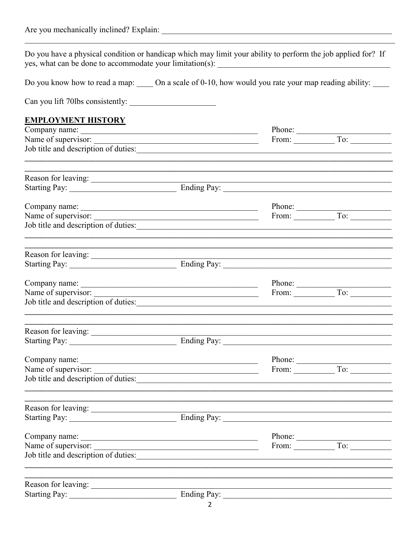| Are you mechanically inclined? Explain: |  |
|-----------------------------------------|--|
|                                         |  |

Do you have a physical condition or handicap which may limit your ability to perform the job applied for? If yes, what can be done to accommodate your limitation(s):

Do you know how to read a map: \_\_\_\_\_ On a scale of 0-10, how would you rate your map reading ability: \_\_\_\_

Can you lift 70lbs consistently:

## **EMPLOYMENT HISTORY**

| Company name: <u>company name</u>                           |                                                                     | Phone:                |                                                               |
|-------------------------------------------------------------|---------------------------------------------------------------------|-----------------------|---------------------------------------------------------------|
|                                                             |                                                                     |                       | From: $\overline{\hspace{1cm}}$ To: $\overline{\hspace{1cm}}$ |
|                                                             |                                                                     |                       |                                                               |
|                                                             |                                                                     |                       |                                                               |
| Starting Pay: Ending Pay:                                   |                                                                     |                       |                                                               |
|                                                             |                                                                     |                       |                                                               |
| Name of supervisor:                                         |                                                                     |                       |                                                               |
|                                                             |                                                                     |                       |                                                               |
|                                                             |                                                                     |                       |                                                               |
|                                                             |                                                                     |                       |                                                               |
| Company name:                                               |                                                                     |                       |                                                               |
| Name of supervisor:<br>Job title and description of duties: | <u> 1989 - Jan Barnett, fransk politik (d. 1989)</u>                |                       | From: To: To:                                                 |
|                                                             |                                                                     |                       |                                                               |
|                                                             |                                                                     |                       |                                                               |
|                                                             |                                                                     |                       |                                                               |
| Company name:                                               |                                                                     |                       |                                                               |
|                                                             |                                                                     |                       |                                                               |
|                                                             |                                                                     |                       |                                                               |
|                                                             |                                                                     |                       |                                                               |
|                                                             |                                                                     |                       |                                                               |
| Company name:                                               | <u> 1989 - Johann John Stone, mars and deutscher Stone († 1908)</u> | Phone:                |                                                               |
| Name of supervisor:                                         |                                                                     | From: $\qquad \qquad$ | $\overline{To}$ :                                             |
| Job title and description of duties:                        |                                                                     |                       |                                                               |
|                                                             |                                                                     |                       |                                                               |
|                                                             |                                                                     |                       |                                                               |
|                                                             |                                                                     |                       |                                                               |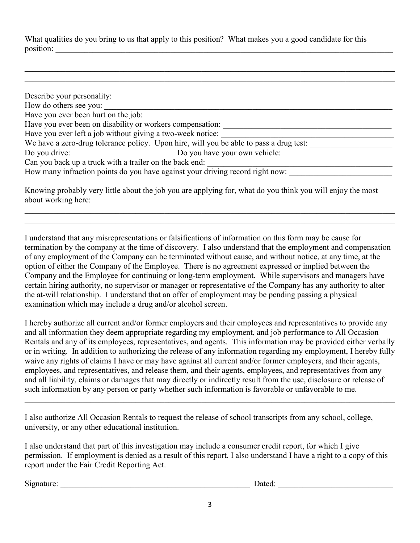What qualities do you bring to us that apply to this position? What makes you a good candidate for this position: \_\_\_\_\_\_\_\_\_\_\_\_\_\_\_\_\_\_\_\_\_\_\_\_\_\_\_\_\_\_\_\_\_\_\_\_\_\_\_\_\_\_\_\_\_\_\_\_\_\_\_\_\_\_\_\_\_\_\_\_\_\_\_\_\_\_\_\_\_\_\_\_\_\_\_\_\_\_\_\_\_\_

| Describe your personality:                                 |                                                                                        |  |
|------------------------------------------------------------|----------------------------------------------------------------------------------------|--|
| How do others see you:                                     |                                                                                        |  |
| Have you ever been hurt on the job:                        |                                                                                        |  |
| Have you ever been on disability or workers compensation:  |                                                                                        |  |
| Have you ever left a job without giving a two-week notice: |                                                                                        |  |
|                                                            | We have a zero-drug tolerance policy. Upon hire, will you be able to pass a drug test: |  |
| Do you drive:                                              | Do you have your own vehicle:                                                          |  |
| Can you back up a truck with a trailer on the back end:    |                                                                                        |  |
|                                                            | How many infraction points do you have against your driving record right now:          |  |
|                                                            |                                                                                        |  |

 $\mathcal{L}_\mathcal{L} = \{ \mathcal{L}_\mathcal{L} = \{ \mathcal{L}_\mathcal{L} = \{ \mathcal{L}_\mathcal{L} = \{ \mathcal{L}_\mathcal{L} = \{ \mathcal{L}_\mathcal{L} = \{ \mathcal{L}_\mathcal{L} = \{ \mathcal{L}_\mathcal{L} = \{ \mathcal{L}_\mathcal{L} = \{ \mathcal{L}_\mathcal{L} = \{ \mathcal{L}_\mathcal{L} = \{ \mathcal{L}_\mathcal{L} = \{ \mathcal{L}_\mathcal{L} = \{ \mathcal{L}_\mathcal{L} = \{ \mathcal{L}_\mathcal{$  $\mathcal{L}_\mathcal{L} = \{ \mathcal{L}_\mathcal{L} = \{ \mathcal{L}_\mathcal{L} = \{ \mathcal{L}_\mathcal{L} = \{ \mathcal{L}_\mathcal{L} = \{ \mathcal{L}_\mathcal{L} = \{ \mathcal{L}_\mathcal{L} = \{ \mathcal{L}_\mathcal{L} = \{ \mathcal{L}_\mathcal{L} = \{ \mathcal{L}_\mathcal{L} = \{ \mathcal{L}_\mathcal{L} = \{ \mathcal{L}_\mathcal{L} = \{ \mathcal{L}_\mathcal{L} = \{ \mathcal{L}_\mathcal{L} = \{ \mathcal{L}_\mathcal{$  $\mathcal{L}_\mathcal{L} = \{ \mathcal{L}_\mathcal{L} = \{ \mathcal{L}_\mathcal{L} = \{ \mathcal{L}_\mathcal{L} = \{ \mathcal{L}_\mathcal{L} = \{ \mathcal{L}_\mathcal{L} = \{ \mathcal{L}_\mathcal{L} = \{ \mathcal{L}_\mathcal{L} = \{ \mathcal{L}_\mathcal{L} = \{ \mathcal{L}_\mathcal{L} = \{ \mathcal{L}_\mathcal{L} = \{ \mathcal{L}_\mathcal{L} = \{ \mathcal{L}_\mathcal{L} = \{ \mathcal{L}_\mathcal{L} = \{ \mathcal{L}_\mathcal{$ 

Knowing probably very little about the job you are applying for, what do you think you will enjoy the most about working here: \_\_\_\_\_\_\_\_\_\_\_\_\_\_\_\_\_\_\_\_\_\_\_\_\_\_\_\_\_\_\_\_\_\_\_\_\_\_\_\_\_\_\_\_\_\_\_\_\_\_\_\_\_\_\_\_\_\_\_\_\_\_\_\_\_\_\_\_\_\_\_\_\_

 $\_$  . The contribution of the contribution of the contribution of the contribution of the contribution of the contribution of the contribution of the contribution of the contribution of the contribution of the contributio  $\_$  . The contribution of the contribution of the contribution of the contribution of the contribution of the contribution of the contribution of the contribution of the contribution of the contribution of the contributio

I understand that any misrepresentations or falsifications of information on this form may be cause for termination by the company at the time of discovery. I also understand that the employment and compensation of any employment of the Company can be terminated without cause, and without notice, at any time, at the option of either the Company of the Employee. There is no agreement expressed or implied between the Company and the Employee for continuing or long-term employment. While supervisors and managers have certain hiring authority, no supervisor or manager or representative of the Company has any authority to alter the at-will relationship. I understand that an offer of employment may be pending passing a physical examination which may include a drug and/or alcohol screen.

I hereby authorize all current and/or former employers and their employees and representatives to provide any and all information they deem appropriate regarding my employment, and job performance to All Occasion Rentals and any of its employees, representatives, and agents. This information may be provided either verbally or in writing. In addition to authorizing the release of any information regarding my employment, I hereby fully waive any rights of claims I have or may have against all current and/or former employers, and their agents, employees, and representatives, and release them, and their agents, employees, and representatives from any and all liability, claims or damages that may directly or indirectly result from the use, disclosure or release of such information by any person or party whether such information is favorable or unfavorable to me.

 $\mathcal{L}_\mathcal{L} = \{ \mathcal{L}_\mathcal{L} = \{ \mathcal{L}_\mathcal{L} = \{ \mathcal{L}_\mathcal{L} = \{ \mathcal{L}_\mathcal{L} = \{ \mathcal{L}_\mathcal{L} = \{ \mathcal{L}_\mathcal{L} = \{ \mathcal{L}_\mathcal{L} = \{ \mathcal{L}_\mathcal{L} = \{ \mathcal{L}_\mathcal{L} = \{ \mathcal{L}_\mathcal{L} = \{ \mathcal{L}_\mathcal{L} = \{ \mathcal{L}_\mathcal{L} = \{ \mathcal{L}_\mathcal{L} = \{ \mathcal{L}_\mathcal{$ 

I also authorize All Occasion Rentals to request the release of school transcripts from any school, college, university, or any other educational institution.

I also understand that part of this investigation may include a consumer credit report, for which I give permission. If employment is denied as a result of this report, I also understand I have a right to a copy of this report under the Fair Credit Reporting Act.

Signature: \_\_\_\_\_\_\_\_\_\_\_\_\_\_\_\_\_\_\_\_\_\_\_\_\_\_\_\_\_\_\_\_\_\_\_\_\_\_\_\_\_\_\_\_\_\_ Dated: \_\_\_\_\_\_\_\_\_\_\_\_\_\_\_\_\_\_\_\_\_\_\_\_\_\_\_\_